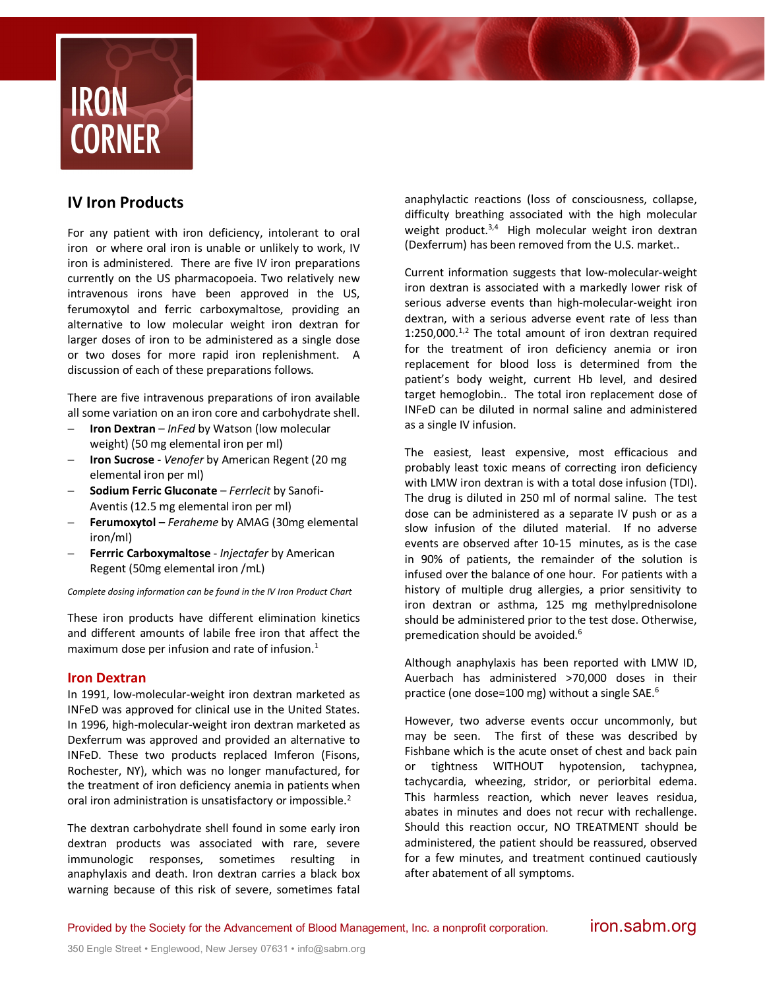

# **IV Iron Products**

For any patient with iron deficiency, intolerant to oral iron or where oral iron is unable or unlikely to work, IV iron is administered. There are five IV iron preparations currently on the US pharmacopoeia. Two relatively new intravenous irons have been approved in the US, ferumoxytol and ferric carboxymaltose, providing an alternative to low molecular weight iron dextran for larger doses of iron to be administered as a single dose or two doses for more rapid iron replenishment. A discussion of each of these preparations follows.

There are five intravenous preparations of iron available all some variation on an iron core and carbohydrate shell.

- **Iron Dextran** *InFed* by Watson (low molecular weight) (50 mg elemental iron per ml)
- **Iron Sucrose** *Venofer* by American Regent (20 mg elemental iron per ml)
- **Sodium Ferric Gluconate** *Ferrlecit* by Sanofi-Aventis (12.5 mg elemental iron per ml)
- **Ferumoxytol** *Feraheme* by AMAG (30mg elemental iron/ml)
- **Ferrric Carboxymaltose** *Injectafer* by American Regent (50mg elemental iron /mL)

*Complete dosing information can be found in the IV Iron Product Chart*

These iron products have different elimination kinetics and different amounts of labile free iron that affect the maximum dose per infusion and rate of infusion. $<sup>1</sup>$ </sup>

# **Iron Dextran**

In 1991, low-molecular-weight iron dextran marketed as INFeD was approved for clinical use in the United States. In 1996, high-molecular-weight iron dextran marketed as Dexferrum was approved and provided an alternative to INFeD. These two products replaced Imferon (Fisons, Rochester, NY), which was no longer manufactured, for the treatment of iron deficiency anemia in patients when oral iron administration is unsatisfactory or impossible.<sup>2</sup>

The dextran carbohydrate shell found in some early iron dextran products was associated with rare, severe immunologic responses, sometimes resulting in anaphylaxis and death. Iron dextran carries a black box warning because of this risk of severe, sometimes fatal

anaphylactic reactions (loss of consciousness, collapse, difficulty breathing associated with the high molecular weight product. $3,4$  High molecular weight iron dextran (Dexferrum) has been removed from the U.S. market..

Current information suggests that low-molecular-weight iron dextran is associated with a markedly lower risk of serious adverse events than high-molecular-weight iron dextran, with a serious adverse event rate of less than  $1:250,000$ .<sup>1,2</sup> The total amount of iron dextran required for the treatment of iron deficiency anemia or iron replacement for blood loss is determined from the patient's body weight, current Hb level, and desired target hemoglobin.. The total iron replacement dose of INFeD can be diluted in normal saline and administered as a single IV infusion.

The easiest, least expensive, most efficacious and probably least toxic means of correcting iron deficiency with LMW iron dextran is with a total dose infusion (TDI). The drug is diluted in 250 ml of normal saline. The test dose can be administered as a separate IV push or as a slow infusion of the diluted material. If no adverse events are observed after 10-15 minutes, as is the case in 90% of patients, the remainder of the solution is infused over the balance of one hour. For patients with a history of multiple drug allergies, a prior sensitivity to iron dextran or asthma, 125 mg methylprednisolone should be administered prior to the test dose. Otherwise, premedication should be avoided.<sup>6</sup>

Although anaphylaxis has been reported with LMW ID, Auerbach has administered >70,000 doses in their practice (one dose=100 mg) without a single SAE.6

However, two adverse events occur uncommonly, but may be seen. The first of these was described by Fishbane which is the acute onset of chest and back pain or tightness WITHOUT hypotension, tachypnea, tachycardia, wheezing, stridor, or periorbital edema. This harmless reaction, which never leaves residua, abates in minutes and does not recur with rechallenge. Should this reaction occur, NO TREATMENT should be administered, the patient should be reassured, observed for a few minutes, and treatment continued cautiously after abatement of all symptoms.

Provided by the Society for the Advancement of Blood Management, Inc. a nonprofit corporation. **iron.sabm.org**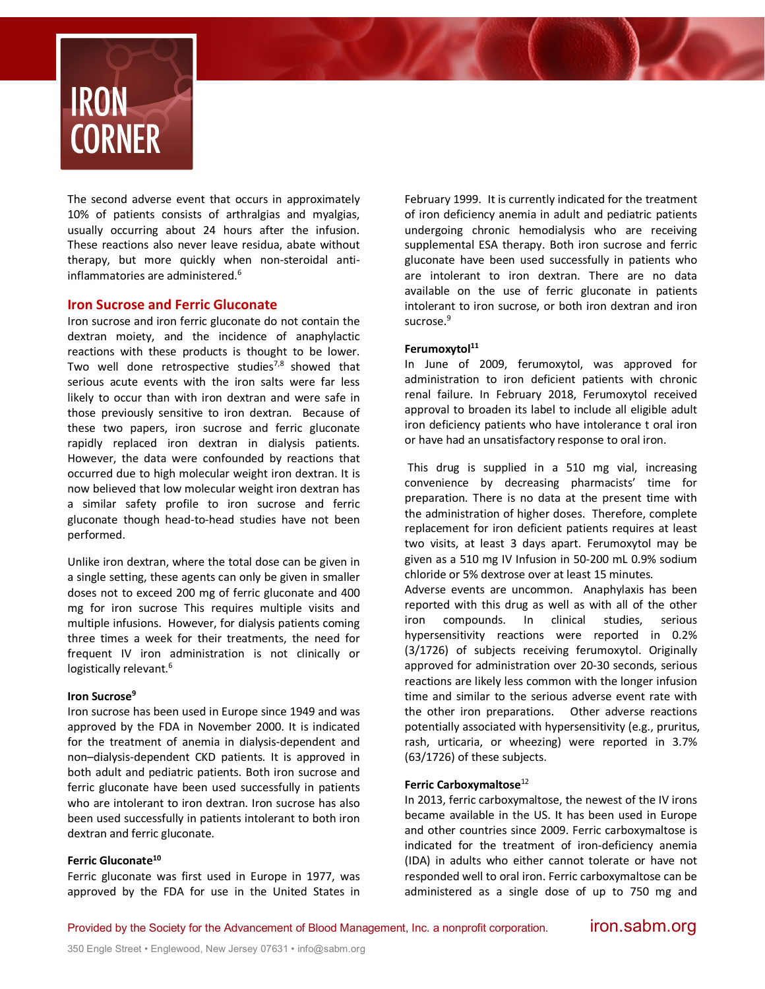

The second adverse event that occurs in approximately 10% of patients consists of arthralgias and myalgias, usually occurring about 24 hours after the infusion. These reactions also never leave residua, abate without therapy, but more quickly when non-steroidal antiinflammatories are administered.<sup>6</sup>

# **Iron Sucrose and Ferric Gluconate**

Iron sucrose and iron ferric gluconate do not contain the dextran moiety, and the incidence of anaphylactic reactions with these products is thought to be lower. Two well done retrospective studies<sup>7,8</sup> showed that serious acute events with the iron salts were far less likely to occur than with iron dextran and were safe in those previously sensitive to iron dextran. Because of these two papers, iron sucrose and ferric gluconate rapidly replaced iron dextran in dialysis patients. However, the data were confounded by reactions that occurred due to high molecular weight iron dextran. It is now believed that low molecular weight iron dextran has a similar safety profile to iron sucrose and ferric gluconate though head-to-head studies have not been performed.

Unlike iron dextran, where the total dose can be given in a single setting, these agents can only be given in smaller doses not to exceed 200 mg of ferric gluconate and 400 mg for iron sucrose This requires multiple visits and multiple infusions. However, for dialysis patients coming three times a week for their treatments, the need for frequent IV iron administration is not clinically or logistically relevant.<sup>6</sup>

#### **Iron Sucrose9**

Iron sucrose has been used in Europe since 1949 and was approved by the FDA in November 2000. It is indicated for the treatment of anemia in dialysis-dependent and non–dialysis-dependent CKD patients. It is approved in both adult and pediatric patients. Both iron sucrose and ferric gluconate have been used successfully in patients who are intolerant to iron dextran. Iron sucrose has also been used successfully in patients intolerant to both iron dextran and ferric gluconate.

### **Ferric Gluconate10**

Ferric gluconate was first used in Europe in 1977, was approved by the FDA for use in the United States in February 1999. It is currently indicated for the treatment of iron deficiency anemia in adult and pediatric patients undergoing chronic hemodialysis who are receiving supplemental ESA therapy. Both iron sucrose and ferric gluconate have been used successfully in patients who are intolerant to iron dextran. There are no data available on the use of ferric gluconate in patients intolerant to iron sucrose, or both iron dextran and iron sucrose.<sup>9</sup>

## Ferumoxytol<sup>11</sup>

In June of 2009, ferumoxytol, was approved for administration to iron deficient patients with chronic renal failure. In February 2018, Ferumoxytol received approval to broaden its label to include all eligible adult iron deficiency patients who have intolerance t oral iron or have had an unsatisfactory response to oral iron.

This drug is supplied in a 510 mg vial, increasing convenience by decreasing pharmacists' time for preparation. There is no data at the present time with the administration of higher doses. Therefore, complete replacement for iron deficient patients requires at least two visits, at least 3 days apart. Ferumoxytol may be given as a 510 mg IV Infusion in 50-200 mL 0.9% sodium chloride or 5% dextrose over at least 15 minutes.

Adverse events are uncommon. Anaphylaxis has been reported with this drug as well as with all of the other iron compounds. In clinical studies, serious hypersensitivity reactions were reported in 0.2% (3/1726) of subjects receiving ferumoxytol. Originally approved for administration over 20-30 seconds, serious reactions are likely less common with the longer infusion time and similar to the serious adverse event rate with the other iron preparations. Other adverse reactions potentially associated with hypersensitivity (e.g., pruritus, rash, urticaria, or wheezing) were reported in 3.7% (63/1726) of these subjects.

## **Ferric Carboxymaltose**<sup>12</sup>

In 2013, ferric carboxymaltose, the newest of the IV irons became available in the US. It has been used in Europe and other countries since 2009. Ferric carboxymaltose is indicated for the treatment of iron-deficiency anemia (IDA) in adults who either cannot tolerate or have not responded well to oral iron. Ferric carboxymaltose can be administered as a single dose of up to 750 mg and